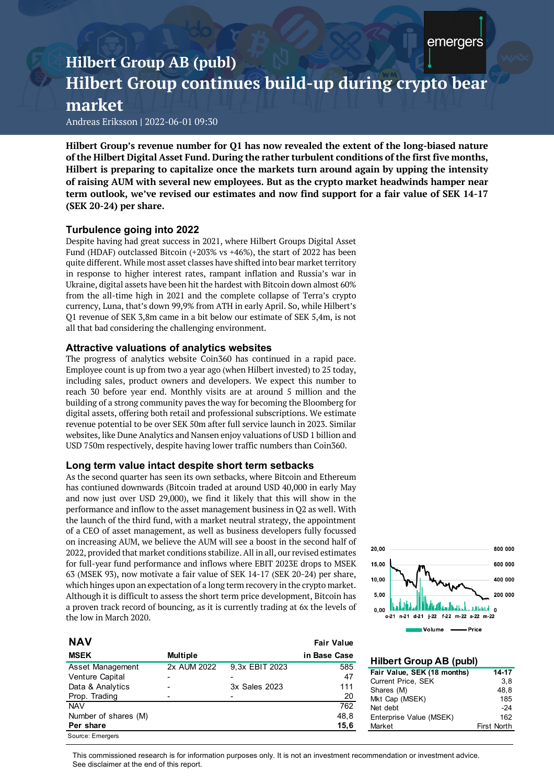# **Hilbert Group AB (publ) Hilbert Group continues build-up during crypto bear market**

Andreas Eriksson **|** 2022-06-01 09:30

**Hilbert Group's revenue number for Q1 has now revealed the extent of the long-biased nature ofthe Hilbert Digital Asset Fund. During the rather turbulent conditions ofthe firstfive months, Hilbert is preparing to capitalize once the markets turn around again by upping the intensity of raising AUM with several new employees. But as the crypto market headwinds hamper near term outlook, we've revised our estimates and now find support for a fair value of SEK 14-17 (SEK 20-24) per share.**

#### **Turbulence going into 2022**

Despite having had great success in 2021, where Hilbert Groups Digital Asset Fund (HDAF) outclassed Bitcoin (+203% vs +46%), the start of 2022 has been quite different. While most asset classes have shifted into bear market territory in response to higher interest rates, rampant inflation and Russia's war in Ukraine, digital assets have been hit the hardest with Bitcoin down almost 60% from the all-time high in 2021 and the complete collapse of Terra's crypto currency, Luna, that's down 99,9% from ATH in early April. So, while Hilbert's Q1 revenue of SEK 3,8m came in a bit below our estimate of SEK 5,4m, is not all that bad considering the challenging environment.

## **Attractive valuations of analytics websites**

The progress of analytics website Coin360 has continued in a rapid pace. Employee count is up from two a year ago (when Hilbert invested) to 25 today, including sales, product owners and developers. We expect this number to reach 30 before year end. Monthly visits are at around 5 million and the building of a strong community paves the way for becoming the Bloomberg for digital assets, offering both retail and professional subscriptions. We estimate revenue potential to be over SEK 50m after full service launch in 2023. Similar websites, like Dune Analytics and Nansen enjoy valuations of USD 1 billion and USD 750m respectively, despite having lower traffic numbers than Coin360.

#### **Long term value intact despite short term setbacks**

As the second quarter has seen its own setbacks, where Bitcoin and Ethereum has contiuned downwards (Bitcoin traded at around USD 40,000 in early May and now just over USD 29,000), we find it likely that this will show in the performance and inflow to the asset management business in Q2 as well. With the launch of the third fund, with a market neutral strategy, the appointment of a CEO of asset management, as well as business developers fully focussed on increasing AUM, we believe the AUM will see a boost in the second half of 2022, provided that market conditions stabilize. All in all, our revised estimates for full-year fund performance and inflows where EBIT 2023E drops to MSEK 63 (MSEK 93), now motivate a fair value of SEK 14-17 (SEK 20-24) per share, which hinges upon an expectation of a long term recovery in the crypto market. Although it is difficult to assess the short term price development, Bitcoin has a proven track record of bouncing, as it is currently trading at 6x the levels of the low in March 2020.

| <b>NAV</b>           |             |                | <b>Fair Value</b> |
|----------------------|-------------|----------------|-------------------|
| <b>MSEK</b>          | Multiple    |                | in Base Case      |
| Asset Management     | 2x AUM 2022 | 9.3x EBIT 2023 | 585               |
| Venture Capital      |             |                | 47                |
| Data & Analytics     |             | 3x Sales 2023  | 111               |
| Prop. Trading        |             |                | 20                |
| <b>NAV</b>           |             |                | 762               |
| Number of shares (M) |             |                | 48,8              |
| Per share            |             |                | 15,6              |
| Source: Emergers     |             |                |                   |



#### **Hilbert Group AB (publ) Fair Value, SEK (18 months) 14-17** Current Price, SEK 3,8 Shares (M) 48,8 Mkt Cap (MSEK) 185<br>Net debt 195 Net debt -24 Enterprise Value (MSEK) Market First North

This commissioned research is for information purposes only. It is not an investment recommendation or investment advice.<br>See disclaimer at the end of this report See disclaimer at the end of this report.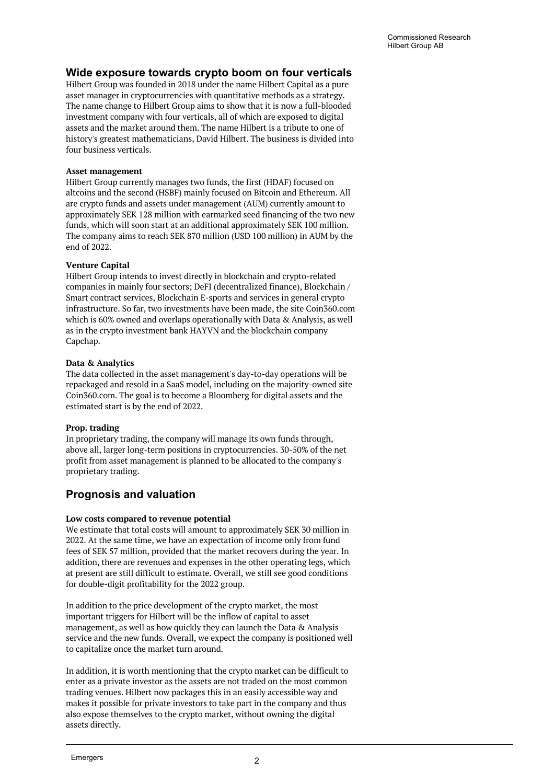## **Wide exposure towards crypto boom on four verticals**

Hilbert Group was founded in 2018 under the name Hilbert Capital as a pure asset manager in cryptocurrencies with quantitative methods as a strategy. The name change to Hilbert Group aims to show that it is now a full-blooded investment company with four verticals, all of which are exposed to digital assets and the market around them. The name Hilbert is a tribute to one of history's greatest mathematicians, David Hilbert. The business is divided into four business verticals.

#### **Asset management**

Hilbert Group currently manages two funds, the first (HDAF) focused on altcoins and the second (HSBF) mainly focused on Bitcoin and Ethereum. All are crypto funds and assets under management (AUM) currently amount to approximately SEK 128 million with earmarked seed financing of the two new funds, which will soon start at an additional approximately SEK 100 million. The company aims to reach SEK 870 million (USD 100 million) in AUM by the end of 2022.

### **Venture Capital**

Hilbert Group intends to invest directly in blockchain and crypto-related companies in mainly four sectors; DeFI (decentralized finance), Blockchain / Smart contract services, Blockchain E-sports and services in general crypto infrastructure. So far, two investments have been made, the site Coin360.com which is 60% owned and overlaps operationally with Data & Analysis, as well as in the crypto investment bank HAYVN and the blockchain company Capchap.

### **Data & Analytics**

The data collected in the asset management's day-to-day operations will be repackaged and resold in a SaaS model, including on the majority-owned site Coin360.com. The goal is to become a Bloomberg for digital assets and the estimated start is by the end of 2022.

### **Prop. trading**

In proprietary trading, the company will manage its own funds through, above all, larger long-term positions in cryptocurrencies. 30-50% of the net profit from asset management is planned to be allocated to the company's proprietary trading.

## **Prognosis and valuation**

### **Low costs compared to revenue potential**

We estimate that total costs will amount to approximately SEK 30 million in 2022. At the same time, we have an expectation of income only from fund fees of SEK 57 million, provided that the market recovers during the year. In addition, there are revenues and expenses in the other operating legs, which at present are still difficult to estimate. Overall, we still see good conditions for double-digit profitability for the 2022 group.

In addition to the price development of the crypto market, the most important triggers for Hilbert will be the inflow of capital to asset management, as well as how quickly they can launch the Data & Analysis service and the new funds. Overall, we expect the company is positioned well to capitalize once the market turn around.

In addition, it is worth mentioning that the crypto market can be difficult to enter as a private investor as the assets are not traded on the most common trading venues. Hilbert now packages this in an easily accessible way and makes it possible for private investors to take part in the company and thus also expose themselves to the crypto market, without owning the digital assets directly.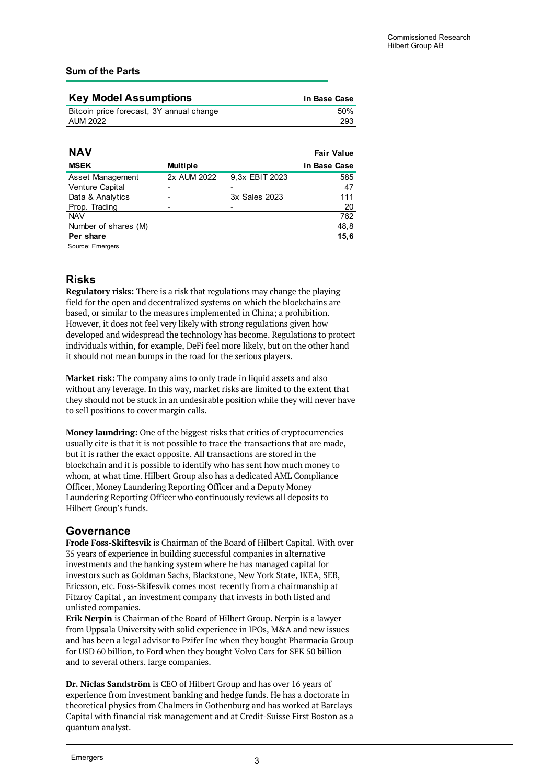## **Sum of the Parts**

| <b>Key Model Assumptions</b>             | in Base Case |
|------------------------------------------|--------------|
| Bitcoin price forecast, 3Y annual change | 50%          |
| AUM 2022                                 | 293          |
|                                          |              |

| <b>NAV</b>           |                 |                | <b>Fair Value</b> |
|----------------------|-----------------|----------------|-------------------|
| <b>MSEK</b>          | <b>Multiple</b> |                | in Base Case      |
| Asset Management     | 2x AUM 2022     | 9.3x EBIT 2023 | 585               |
| Venture Capital      | ۰               |                | 47                |
| Data & Analytics     |                 | 3x Sales 2023  | 111               |
| Prop. Trading        |                 |                | 20                |
| <b>NAV</b>           |                 |                | 762               |
| Number of shares (M) |                 |                | 48,8              |
| Per share            |                 |                | 15,6              |

Source: Emergers

## **Risks**

**Regulatory risks:** There is a risk that regulations may change the playing field for the open and decentralized systems on which the blockchains are based, or similar to the measures implemented in China; a prohibition. However, it does not feel very likely with strong regulations given how developed and widespread the technology has become. Regulations to protect individuals within, for example, DeFi feel more likely, but on the other hand it should not mean bumps in the road for the serious players.

**Market risk:** The company aims to only trade in liquid assets and also without any leverage. In this way, market risks are limited to the extent that they should not be stuck in an undesirable position while they will never have to sell positions to cover margin calls.

**Money laundring:** One of the biggest risks that critics of cryptocurrencies usually cite is that it is not possible to trace the transactions that are made, but it is rather the exact opposite. All transactions are stored in the blockchain and it is possible to identify who has sent how much money to whom, at what time. Hilbert Group also has a dedicated AML Compliance Officer, Money Laundering Reporting Officer and a Deputy Money Laundering Reporting Officer who continuously reviews all deposits to Hilbert Group's funds.

# **Governance**

**Frode Foss-Skiftesvik** is Chairman of the Board of Hilbert Capital. With over 35 years of experience in building successful companies in alternative investments and the banking system where he has managed capital for investors such as Goldman Sachs, Blackstone, New York State, IKEA, SEB, Ericsson, etc. Foss-Skifesvik comes most recently from a chairmanship at Fitzroy Capital , an investment company that invests in both listed and unlisted companies.

**Erik Nerpin** is Chairman of the Board of Hilbert Group. Nerpin is a lawyer from Uppsala University with solid experience in IPOs, M&A and new issues and has been a legal advisor to Pzifer Inc when they bought Pharmacia Group for USD 60 billion, to Ford when they bought Volvo Cars for SEK 50 billion and to several others. large companies.

**Dr. Niclas Sandström** is CEO of Hilbert Group and has over 16 years of experience from investment banking and hedge funds. He has a doctorate in theoretical physics from Chalmers in Gothenburg and has worked at Barclays Capital with financial risk management and at Credit-Suisse First Boston as a quantum analyst.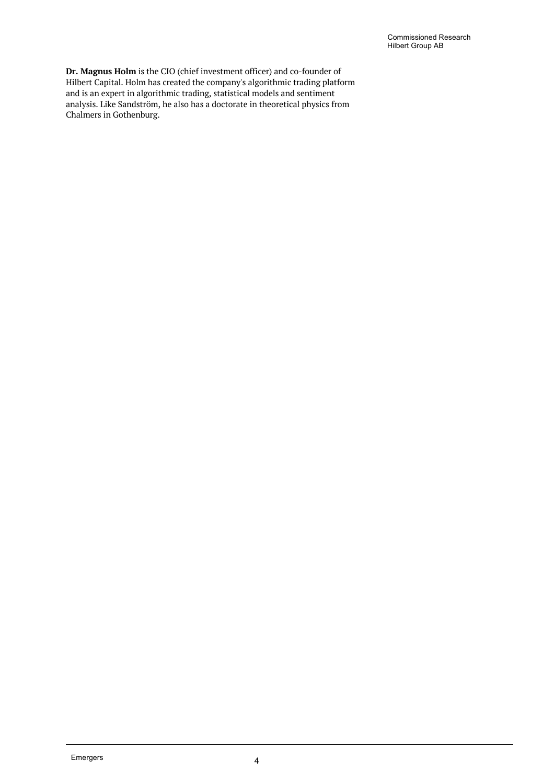**Dr. Magnus Holm** is the CIO (chief investment officer) and co-founder of Hilbert Capital. Holm has created the company's algorithmic trading platform and is an expert in algorithmic trading, statistical models and sentiment analysis. Like Sandström, he also has a doctorate in theoretical physics from Chalmers in Gothenburg.